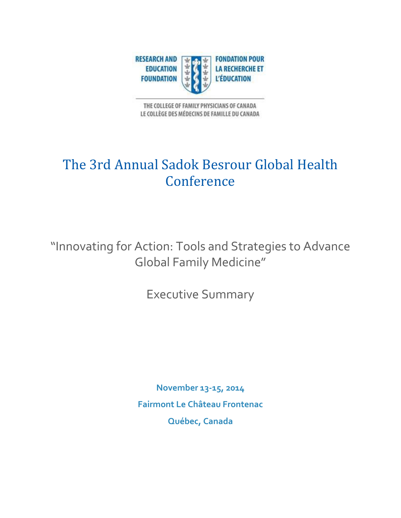

THE COLLEGE OF FAMILY PHYSICIANS OF CANADA LE COLLÈGE DES MÉDECINS DE FAMILLE DU CANADA

## The 3rd Annual Sadok Besrour Global Health Conference

"Innovating for Action: Tools and Strategies to Advance Global Family Medicine"

Executive Summary

**November 13-15, 2014 Fairmont Le Château Frontenac Québec, Canada**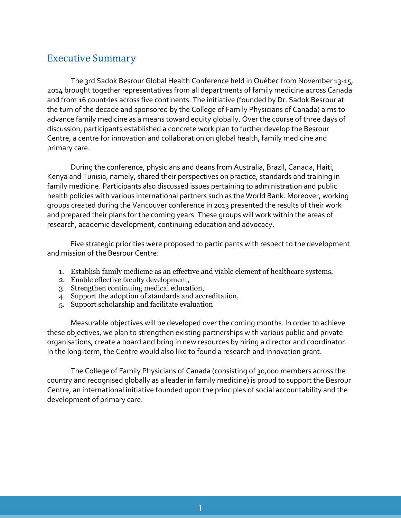## Executive Summary

The 3rd Sadok Besrour Global Health Conference held in Québec from November 13-15, 2014 brought together representatives from all departments of family medicine across Canada and from 16 countries across five continents. The initiative (founded by Dr. Sadok Besrour at the turn of the decade and sponsored by the College of Family Physicians of Canada) aims to advance family medicine as a means toward equity globally. Over the course of three days of discussion, participants established a concrete work plan to further develop the Besrour Centre, a centre for innovation and collaboration on global health, family medicine and primary care.

During the conference, physicians and deans from Australia, Brazil, Canada, Haiti, Kenya and Tunisia, namely, shared their perspectives on practice, standards and training in family medicine. Participants also discussed issues pertaining to administration and public health policies with various international partners such as the World Bank. Moreover, working groups created during the Vancouver conference in 2013 presented the results of their work and prepared their plans for the coming years. These groups will work within the areas of research, academic development, continuing education and advocacy.

Five strategic priorities were proposed to participants with respect to the development and mission of the Besrour Centre:

- 1. Establish family medicine as an effective and viable element of healthcare systems,
- 2. Enable effective faculty development,
- 3. Strengthen continuing medical education,
- 4. Support the adoption of standards and accreditation,
- 5. Support scholarship and facilitate evaluation

Measurable objectives will be developed over the coming months. In order to achieve these objectives, we plan to strengthen existing partnerships with various public and private organisations, create a board and bring in new resources by hiring a director and coordinator. In the long-term, the Centre would also like to found a research and innovation grant.

The College of Family Physicians of Canada (consisting of 30,000 members across the country and recognised globally as a leader in family medicine) is proud to support the Besrour Centre, an international initiative founded upon the principles of social accountability and the development of primary care.